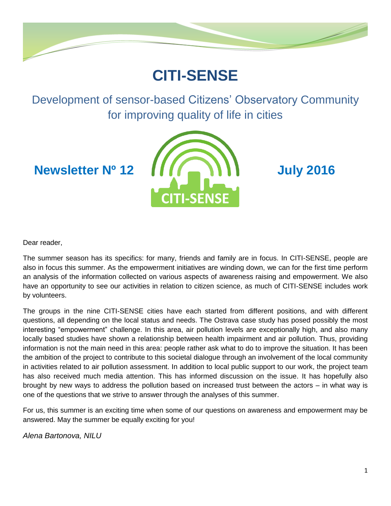

# **CITI-SENSE**

Development of sensor-based Citizens' Observatory Community for improving quality of life in cities



Dear reader,

The summer season has its specifics: for many, friends and family are in focus. In CITI-SENSE, people are also in focus this summer. As the empowerment initiatives are winding down, we can for the first time perform an analysis of the information collected on various aspects of awareness raising and empowerment. We also have an opportunity to see our activities in relation to citizen science, as much of CITI-SENSE includes work by volunteers.

The groups in the nine CITI-SENSE cities have each started from different positions, and with different questions, all depending on the local status and needs. The Ostrava case study has posed possibly the most interesting "empowerment" challenge. In this area, air pollution levels are exceptionally high, and also many locally based studies have shown a relationship between health impairment and air pollution. Thus, providing information is not the main need in this area: people rather ask what to do to improve the situation. It has been the ambition of the project to contribute to this societal dialogue through an involvement of the local community in activities related to air pollution assessment. In addition to local public support to our work, the project team has also received much media attention. This has informed discussion on the issue. It has hopefully also brought by new ways to address the pollution based on increased trust between the actors – in what way is one of the questions that we strive to answer through the analyses of this summer.

For us, this summer is an exciting time when some of our questions on awareness and empowerment may be answered. May the summer be equally exciting for you!

*Alena Bartonova, NILU*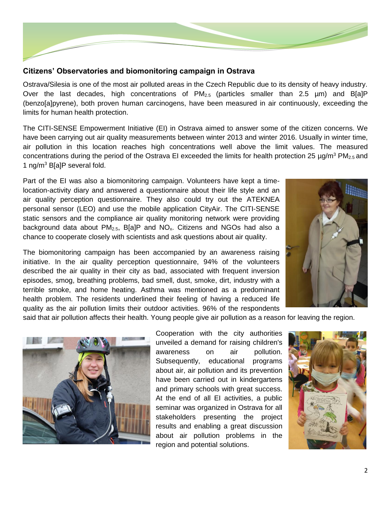

#### **Citizens' Observatories and biomonitoring campaign in Ostrava**

Ostrava/Silesia is one of the most air polluted areas in the Czech Republic due to its density of heavy industry. Over the last decades, high concentrations of  $PM_{2.5}$  (particles smaller than 2.5 µm) and B[a]P (benzo[a]pyrene), both proven human carcinogens, have been measured in air continuously, exceeding the limits for human health protection.

The CITI-SENSE Empowerment Initiative (EI) in Ostrava aimed to answer some of the citizen concerns. We have been carrying out air quality measurements between winter 2013 and winter 2016. Usually in winter time, air pollution in this location reaches high concentrations well above the limit values. The measured concentrations during the period of the Ostrava EI exceeded the limits for health protection 25  $\mu q/m^3$  PM<sub>2.5</sub> and 1 ng/m<sup>3</sup> B[a]P several fold.

Part of the EI was also a biomonitoring campaign. Volunteers have kept a timelocation-activity diary and answered a questionnaire about their life style and an air quality perception questionnaire. They also could try out the ATEKNEA personal sensor (LEO) and use the mobile application CityAir. The CITI-SENSE static sensors and the compliance air quality monitoring network were providing background data about  $PM_{2.5}$ , B[a]P and  $NO<sub>x</sub>$ . Citizens and NGOs had also a chance to cooperate closely with scientists and ask questions about air quality.

The biomonitoring campaign has been accompanied by an awareness raising initiative. In the air quality perception questionnaire, 94% of the volunteers described the air quality in their city as bad, associated with frequent inversion episodes, smog, breathing problems, bad smell, dust, smoke, dirt, industry with a terrible smoke, and home heating. Asthma was mentioned as a predominant health problem. The residents underlined their feeling of having a reduced life quality as the air pollution limits their outdoor activities. 96% of the respondents



said that air pollution affects their health. Young people give air pollution as a reason for leaving the region.



Cooperation with the city authorities unveiled a demand for raising children's awareness on air pollution. Subsequently, educational programs about air, air pollution and its prevention have been carried out in kindergartens and primary schools with great success. At the end of all EI activities, a public seminar was organized in Ostrava for all stakeholders presenting the project results and enabling a great discussion about air pollution problems in the region and potential solutions.

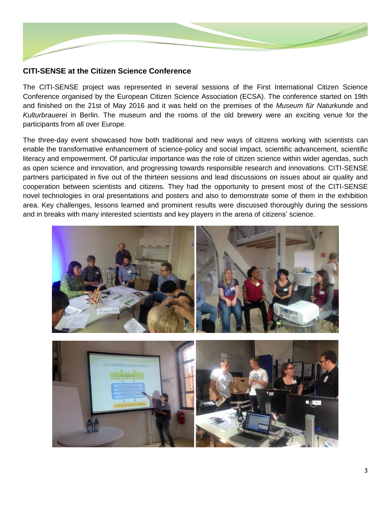

### **CITI-SENSE at the Citizen Science Conference**

The CITI-SENSE project was represented in several sessions of the First International Citizen Science Conference organised by the European Citizen Science Association (ECSA). The conference started on 19th and finished on the 21st of May 2016 and it was held on the premises of the *Museum für Naturkunde* and *Kulturbrauerei* in Berlin. The museum and the rooms of the old brewery were an exciting venue for the participants from all over Europe.

The three-day event showcased how both traditional and new ways of citizens working with scientists can enable the transformative enhancement of science-policy and social impact, scientific advancement, scientific literacy and empowerment. Of particular importance was the role of citizen science within wider agendas, such as open science and innovation, and progressing towards responsible research and innovations. CITI-SENSE partners participated in five out of the thirteen sessions and lead discussions on issues about air quality and cooperation between scientists and citizens. They had the opportunity to present most of the CITI-SENSE novel technologies in oral presentations and posters and also to demonstrate some of them in the exhibition area. Key challenges, lessons learned and prominent results were discussed thoroughly during the sessions and in breaks with many interested scientists and key players in the arena of citizens' science.